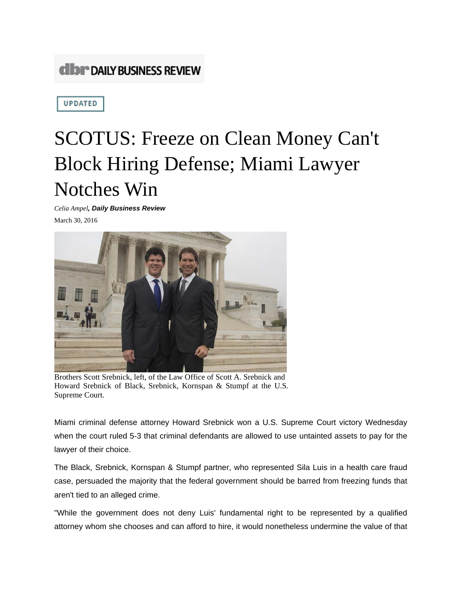## **CIDI<sup>\*</sup> DAILY BUSINESS REVIEW**

**UPDATED** 

## SCOTUS: Freeze on Clean Money Can't Block Hiring Defense; Miami Lawyer Notches Win

*Celia Ampel, Daily Business Review* March 30, 2016



Brothers Scott Srebnick, left, of the Law Office of Scott A. Srebnick and Howard Srebnick of Black, Srebnick, Kornspan & Stumpf at the U.S. Supreme Court.

Miami criminal defense attorney Howard Srebnick won a U.S. Supreme Court victory Wednesday when the court ruled 5-3 that criminal defendants are allowed to use untainted assets to pay for the lawyer of their choice.

The Black, Srebnick, Kornspan & Stumpf partner, who represented Sila Luis in a health care fraud case, persuaded the majority that the federal government should be barred from freezing funds that aren't tied to an alleged crime.

"While the government does not deny Luis' fundamental right to be represented by a qualified attorney whom she chooses and can afford to hire, it would nonetheless undermine the value of that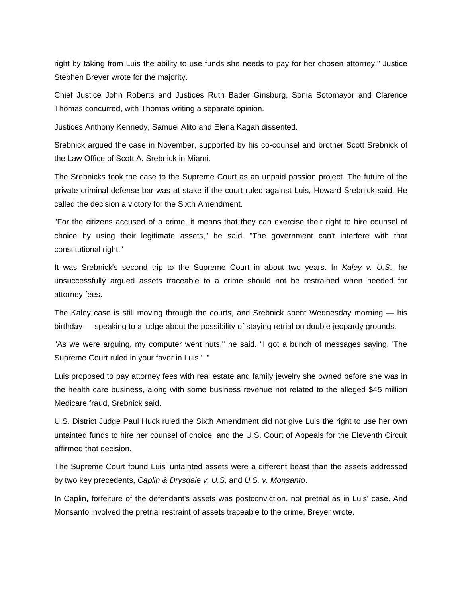right by taking from Luis the ability to use funds she needs to pay for her chosen attorney," Justice Stephen Breyer wrote for the majority.

Chief Justice John Roberts and Justices Ruth Bader Ginsburg, Sonia Sotomayor and Clarence Thomas concurred, with Thomas writing a separate opinion.

Justices Anthony Kennedy, Samuel Alito and Elena Kagan dissented.

Srebnick argued the case in November, supported by his co-counsel and brother Scott Srebnick of the Law Office of Scott A. Srebnick in Miami.

The Srebnicks took the case to the Supreme Court as an unpaid passion project. The future of the private criminal defense bar was at stake if the court ruled against Luis, Howard Srebnick said. He called the decision a victory for the Sixth Amendment.

"For the citizens accused of a crime, it means that they can exercise their right to hire counsel of choice by using their legitimate assets," he said. "The government can't interfere with that constitutional right."

It was Srebnick's second trip to the Supreme Court in about two years. In *Kaley v. U.S*., he unsuccessfully argued assets traceable to a crime should not be restrained when needed for attorney fees.

The Kaley case is still moving through the courts, and Srebnick spent Wednesday morning — his birthday — speaking to a judge about the possibility of staying retrial on double-jeopardy grounds.

"As we were arguing, my computer went nuts," he said. "I got a bunch of messages saying, 'The Supreme Court ruled in your favor in Luis.' "

Luis proposed to pay attorney fees with real estate and family jewelry she owned before she was in the health care business, along with some business revenue not related to the alleged \$45 million Medicare fraud, Srebnick said.

U.S. District Judge Paul Huck ruled the Sixth Amendment did not give Luis the right to use her own untainted funds to hire her counsel of choice, and the U.S. Court of Appeals for the Eleventh Circuit affirmed that decision.

The Supreme Court found Luis' untainted assets were a different beast than the assets addressed by two key precedents, *Caplin & Drysdale v. U.S.* and *U.S. v. Monsanto*.

In Caplin, forfeiture of the defendant's assets was postconviction, not pretrial as in Luis' case. And Monsanto involved the pretrial restraint of assets traceable to the crime, Breyer wrote.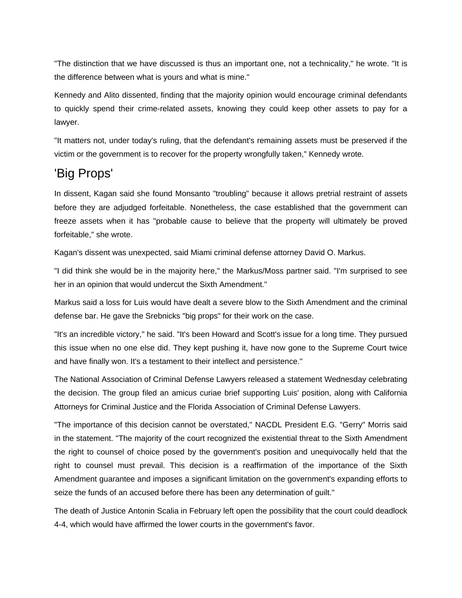"The distinction that we have discussed is thus an important one, not a technicality," he wrote. "It is the difference between what is yours and what is mine."

Kennedy and Alito dissented, finding that the majority opinion would encourage criminal defendants to quickly spend their crime-related assets, knowing they could keep other assets to pay for a lawyer.

"It matters not, under today's ruling, that the defendant's remaining assets must be preserved if the victim or the government is to recover for the property wrongfully taken," Kennedy wrote.

## 'Big Props'

In dissent, Kagan said she found Monsanto "troubling" because it allows pretrial restraint of assets before they are adjudged forfeitable. Nonetheless, the case established that the government can freeze assets when it has "probable cause to believe that the property will ultimately be proved forfeitable," she wrote.

Kagan's dissent was unexpected, said Miami criminal defense attorney David O. Markus.

"I did think she would be in the majority here," the Markus/Moss partner said. "I'm surprised to see her in an opinion that would undercut the Sixth Amendment."

Markus said a loss for Luis would have dealt a severe blow to the Sixth Amendment and the criminal defense bar. He gave the Srebnicks "big props" for their work on the case.

"It's an incredible victory," he said. "It's been Howard and Scott's issue for a long time. They pursued this issue when no one else did. They kept pushing it, have now gone to the Supreme Court twice and have finally won. It's a testament to their intellect and persistence."

The National Association of Criminal Defense Lawyers released a statement Wednesday celebrating the decision. The group filed an amicus curiae brief supporting Luis' position, along with California Attorneys for Criminal Justice and the Florida Association of Criminal Defense Lawyers.

"The importance of this decision cannot be overstated," NACDL President E.G. "Gerry" Morris said in the statement. "The majority of the court recognized the existential threat to the Sixth Amendment the right to counsel of choice posed by the government's position and unequivocally held that the right to counsel must prevail. This decision is a reaffirmation of the importance of the Sixth Amendment guarantee and imposes a significant limitation on the government's expanding efforts to seize the funds of an accused before there has been any determination of guilt."

The death of Justice Antonin Scalia in February left open the possibility that the court could deadlock 4-4, which would have affirmed the lower courts in the government's favor.